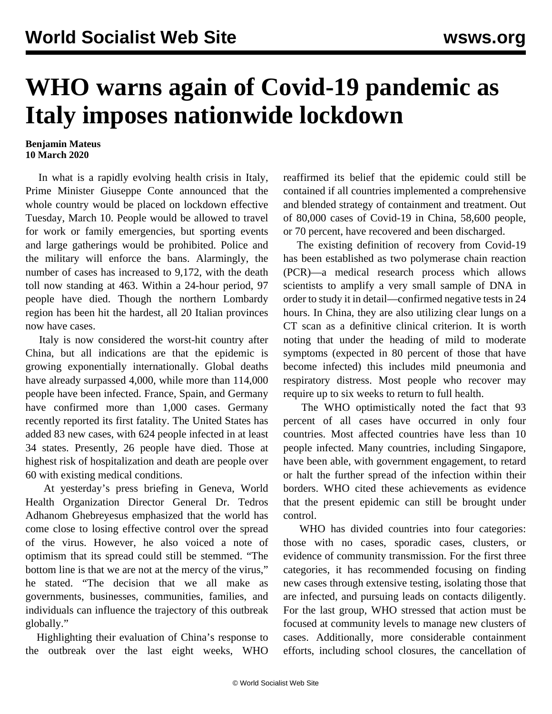## **WHO warns again of Covid-19 pandemic as Italy imposes nationwide lockdown**

## **Benjamin Mateus 10 March 2020**

 In what is a rapidly evolving health crisis in Italy, Prime Minister Giuseppe Conte announced that the whole country would be placed on lockdown effective Tuesday, March 10. People would be allowed to travel for work or family emergencies, but sporting events and large gatherings would be prohibited. Police and the military will enforce the bans. Alarmingly, the number of cases has increased to 9,172, with the death toll now standing at 463. Within a 24-hour period, 97 people have died. Though the northern Lombardy region has been hit the hardest, all 20 Italian provinces now have cases.

 Italy is now considered the worst-hit country after China, but all indications are that the epidemic is growing exponentially internationally. Global deaths have already surpassed 4,000, while more than 114,000 people have been infected. France, Spain, and Germany have confirmed more than 1,000 cases. Germany recently reported its first fatality. The United States has added 83 new cases, with 624 people infected in at least 34 states. Presently, 26 people have died. Those at highest risk of hospitalization and death are people over 60 with existing medical conditions.

 At yesterday's press briefing in Geneva, World Health Organization Director General Dr. Tedros Adhanom Ghebreyesus emphasized that the world has come close to losing effective control over the spread of the virus. However, he also voiced a note of optimism that its spread could still be stemmed. "The bottom line is that we are not at the mercy of the virus," he stated. "The decision that we all make as governments, businesses, communities, families, and individuals can influence the trajectory of this outbreak globally."

 Highlighting their evaluation of China's response to the outbreak over the last eight weeks, WHO reaffirmed its belief that the epidemic could still be contained if all countries implemented a comprehensive and blended strategy of containment and treatment. Out of 80,000 cases of Covid-19 in China, 58,600 people, or 70 percent, have recovered and been discharged.

 The existing definition of recovery from Covid-19 has been established as two polymerase chain reaction (PCR)—a medical research process which allows scientists to amplify a very small sample of DNA in order to study it in detail—confirmed negative tests in 24 hours. In China, they are also utilizing clear lungs on a CT scan as a definitive clinical criterion. It is worth noting that under the heading of mild to moderate symptoms (expected in 80 percent of those that have become infected) this includes mild pneumonia and respiratory distress. Most people who recover may require up to six weeks to return to full health.

 The WHO optimistically noted the fact that 93 percent of all cases have occurred in only four countries. Most affected countries have less than 10 people infected. Many countries, including Singapore, have been able, with government engagement, to retard or halt the further spread of the infection within their borders. WHO cited these achievements as evidence that the present epidemic can still be brought under control.

 WHO has divided countries into four categories: those with no cases, sporadic cases, clusters, or evidence of community transmission. For the first three categories, it has recommended focusing on finding new cases through extensive testing, isolating those that are infected, and pursuing leads on contacts diligently. For the last group, WHO stressed that action must be focused at community levels to manage new clusters of cases. Additionally, more considerable containment efforts, including school closures, the cancellation of